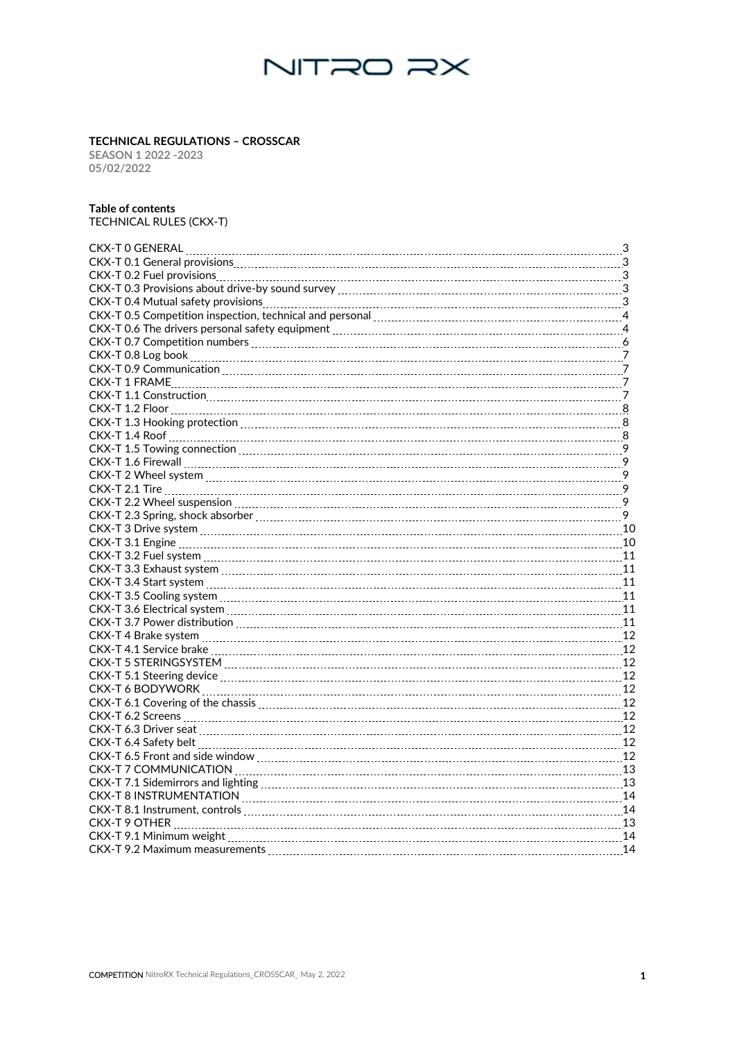

#### **TECHNICAL REGULATIONS – CROSSCAR**

#### **Table of contents**

| <b>TECHNICAL REGULATIONS - CROSSCAR</b><br>SEASON 1 2022 -2023<br>05/02/2022                                   |  |
|----------------------------------------------------------------------------------------------------------------|--|
| <b>Table of contents</b><br>TECHNICAL RULES (CKX-T)                                                            |  |
|                                                                                                                |  |
|                                                                                                                |  |
|                                                                                                                |  |
|                                                                                                                |  |
|                                                                                                                |  |
|                                                                                                                |  |
| CKX-T 0.6 The drivers personal safety equipment [111] [12] The CKX-T 0.6 The drivers personal safety equipment |  |
|                                                                                                                |  |
|                                                                                                                |  |
|                                                                                                                |  |
|                                                                                                                |  |
|                                                                                                                |  |
|                                                                                                                |  |
|                                                                                                                |  |
|                                                                                                                |  |
|                                                                                                                |  |
|                                                                                                                |  |
|                                                                                                                |  |
|                                                                                                                |  |
|                                                                                                                |  |
|                                                                                                                |  |
|                                                                                                                |  |
|                                                                                                                |  |
|                                                                                                                |  |
|                                                                                                                |  |
|                                                                                                                |  |
|                                                                                                                |  |
| CKX-T 5 STERINGSYSTEM [[[[[[[[[[[[[[[[[[[[]]]]]]]]]] 2                                                         |  |
| CKX-T 5.1 Steering device Manual Manual Manual Manual Manual Manual Manual Manual Manual Manual Manual Manual  |  |
|                                                                                                                |  |
|                                                                                                                |  |
|                                                                                                                |  |
|                                                                                                                |  |
|                                                                                                                |  |
|                                                                                                                |  |
| CKX-T 8 INSTRUMENTATION [11] 14 A CONTROLLEY A SUBSECTED A LOCAL DETAILS AND THE MAIL AND THE MAIL AND THE MAI |  |
|                                                                                                                |  |
|                                                                                                                |  |
|                                                                                                                |  |
|                                                                                                                |  |
|                                                                                                                |  |
|                                                                                                                |  |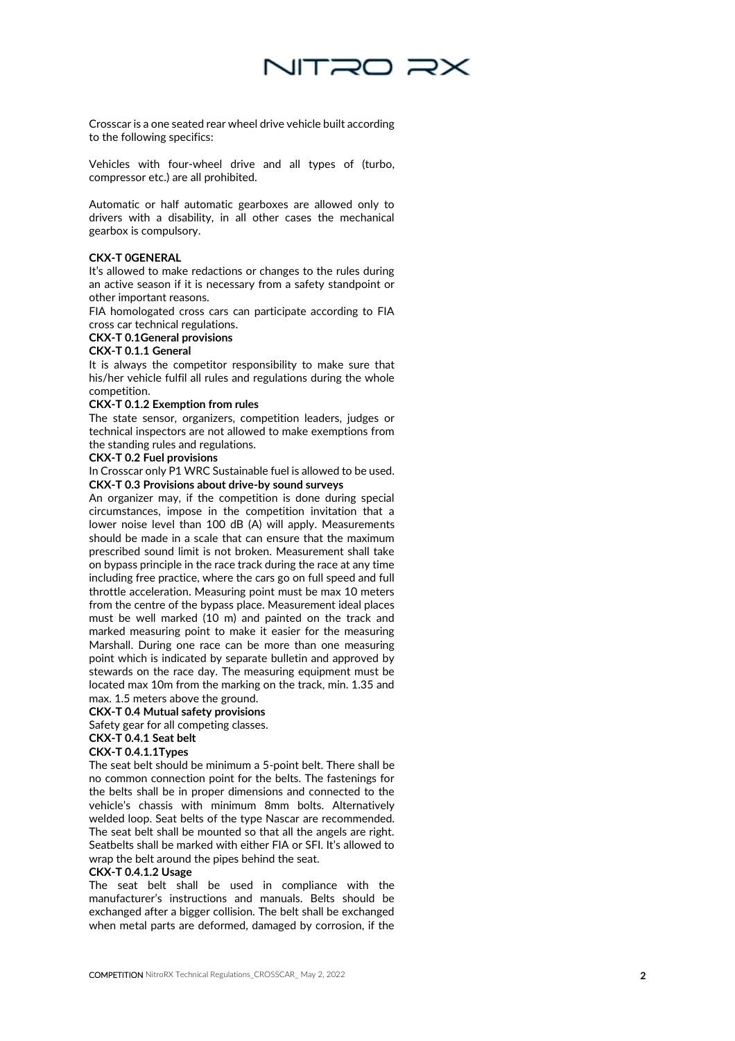

Crossca r is a one seated rear wheel drive vehicle built according to the following specifics :

Vehicles with four -wheel drive and all types of (turbo, compressor etc.) are all prohibited.

Automatic or half automatic gearboxes are allowed only to drivers with a disability, in all other cases the mechanical gearbox is compulsory.

#### **CKX -T 0GENERAL**

It's allowed to make redactions or changes to the rules during an active season if it is necessary from a safety standpoint or other important reasons.

FIA homologated cross cars can participate according to FIA cross car technical regulations.

#### **CKX -T 0.1General provisions**

#### **CKX -T 0.1.1 General**

It is always the competitor responsibility to make sure that his/her vehicle fulfil all rules and regulations during the whole competition.

#### **CKX -T 0.1.2 Exemption from rules**

The state sensor, organizers, competition leaders, judges or technical inspectors are not allowed to make exemptions from the standing rules and regulations.

#### **CKX -T 0.2 Fuel provisions**

In Crosscar only P1 WRC Sustainable fuel is allowed to be used. **CKX-T 0.3 Provisions about drive-by sound surveys**

An organizer may, if the competition is done during special circumstances, impose in the competition invitation that a lower noise level than 100 dB (A) will apply. Measurements should be made in a scale that can ensure that the maximum prescribed sound limit is not broken. Measurement shall take on bypass principle in the race track during the race at any time including free practice, where the cars go on full speed and full throttle acceleration. Measuring point must be max 10 meters from the centre of the bypass place. Measurement ideal places must be well marked (10 m) and painted on the track and marked measuring point to make it easier for the measuring Marshall. During one race can be more than one measuring point which is indicated by separate bulletin and approved by stewards on the race day. The measuring equipment must be located max 10m from the marking on the track, min. 1.35 and max. 1.5 meters above the ground.

# **CKX-T 0.4 Mutual safety provisions**

# Safety gear for all competing classes.

# **CKX -T 0.4.1 Seat belt**

**CKX -T 0.4.1.1Types** The seat belt should be minimum a 5 -point belt. There shall be no common connection point for the belts. The fastenings for the belts shall be in proper dimensions and connected to the vehicle's chassis with minimum 8mm bolts. Alternatively welded loop. Seat belts of the type Nascar are recommended.

The seat belt shall be mounted so that all the angels are right. Seatbelts shall be marked with either FIA or SFI. It's allowed to wrap the belt around the pipes behind the seat.

#### **CKX -T 0.4.1.2 Usage**

The seat belt shall be used in compliance with the manufacturer's instructions and manuals. Belts should be exchanged after a bigger collision. The belt shall be exchanged when metal parts are deformed, damaged by corrosion, if the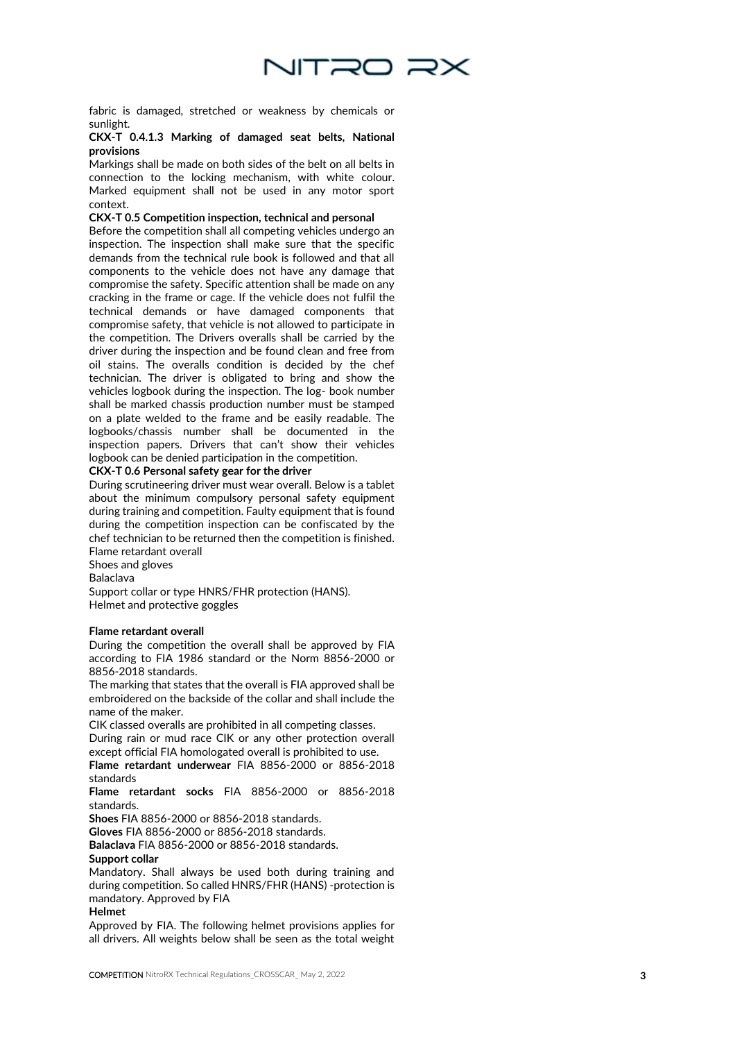

fabric is damaged, stretched or weakness by chemicals or sunlight.

#### **CKX -T 0.4.1.3 Marking of damaged seat belts, National provisions**

Markings shall be made on both sides of the belt on all belts in connection to the locking mechanism, with white colour. Marked equipment shall not be used in any motor sport context.

#### **CKX -T 0.5 Competition inspection, technical and personal**

Before the competition shall all competing vehicles undergo an inspection. The inspection shall make sure that the specific demands from the technical rule book is followed and that all components to the vehicle does not have any damage that compromise the safety. Specific attention shall be made on any cracking in the frame or cage. If the vehicle does not fulfil the technical demands or have damaged components that compromise safety, that vehicle is not allowed to participate in the competition. The Drivers overalls shall be carried by the driver during the inspection and be found clean and free from oil stains. The overalls condition is decided by the chef technician. The driver is obligated to bring and show the vehicles logbook during the inspection. The log - book number shall be marked chassis production number must be stamped on a plate welded to the frame and be easily readable. The logbooks/chassis number shall be documented in the inspection papers. Drivers that can't show their vehicles logbook can be denied participation in the competition.

### **CKX -T 0.6 Personal safety gear for the driver**

During scrutineering driver must wear overall. Below is a tablet about the minimum compulsory personal safety equipment during training and competition. Faulty equipment that is found during the competition inspection can be confiscated by the chef technician to be returned then the competition is finished. Flame retardant overall

Shoes and gloves

Balaclava

Support collar or type HNRS/FHR protection (HANS). Helmet and protective goggles

#### **Flame retardant overall**

During the competition the overall shall be approved by FIA according to FIA 1986 standard or the Norm 8856 -2000 or 8856 -2018 standards.

The marking that states that the overall is FIA approved shall be embroidered on the backside of the collar and shall include the name of the maker.

CIK classed overalls are prohibited in all competing classes. During rain or mud race CIK or any other protection overall except official FIA homologated overall is prohibited to use.

**Flame retardant underwear** FIA 8856 -2000 or 8856 -2018 standards

**Flame retardant socks** FIA 8856 -2000 or 8856 -2018 standards.

**Shoes** FIA 8856 -2000 or 8856 -2018 standards.

**Gloves** FIA 8856 -2000 or 8856 -2018 standards.

**Balaclava** FIA 8856 -2000 or 8856 -2018 standards. **Support collar**

Mandatory. Shall always be used both during training and during competition. So called HNRS/FHR (HANS) -protection is mandatory. Approved by FIA

#### **Helmet**

Approved by FIA. The following helmet provisions applies for all drivers. All weights below shall be seen as the total weight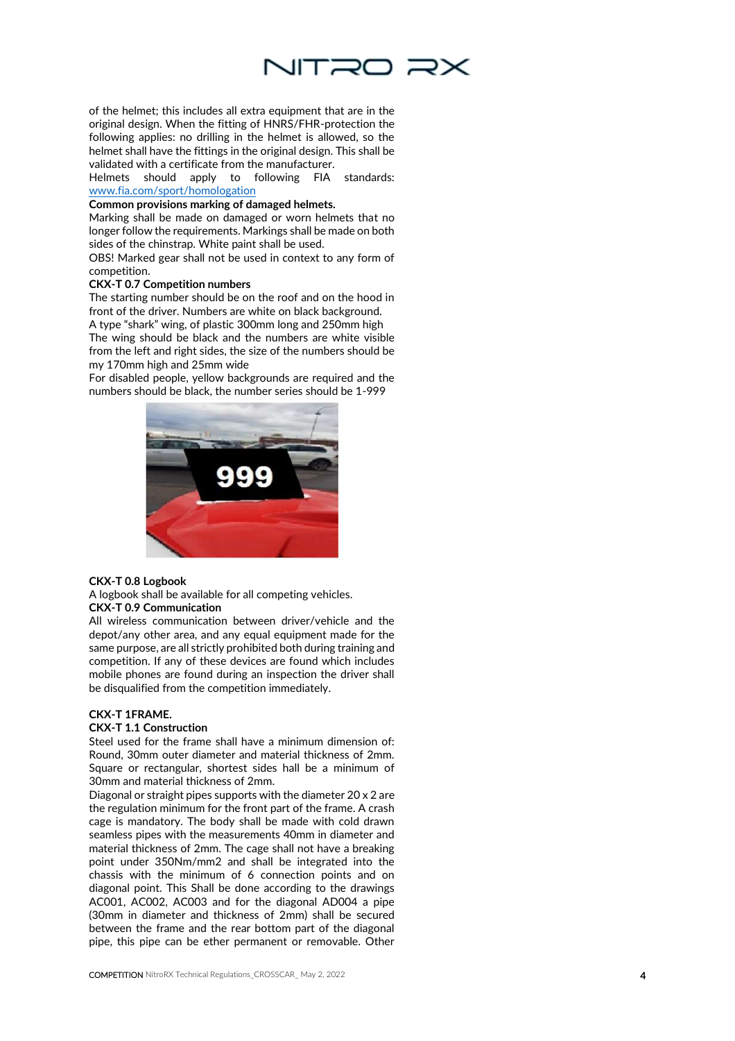

of the helmet; this includes all extra equipment that are in the original design. When the fitting of HNRS/FHR -protection the following applies: no drilling in the helmet is allowed, so the helmet shall have the fittings in the original design. This shall be validated with a certificate from the manufacturer.

Helmets should apply to following FIA standards: [www.fia.com/sport/homologation](http://www.fia.com/sport/homologation)

#### **Common provisions marking of damaged helmets.**

Marking shall be made on damaged or worn helmets that no longer follow the requirements. Markings shall be made on both sides of the chinstrap. White paint shall be used.

OBS! Marked gear shall not be used in context to any form of competition.

#### **CKX -T 0.7 Competition numbers**

The starting number should be on the roof and on the hood in front of the driver. Numbers are white on black background. A type "shark" wing, of plastic 300mm long and 250mm high

The wing should be black and the numbers are white visible from the left and right sides, the size of the numbers should be my 170mm high and 25mm wide

For disabled people, yellow backgrounds are required and the numbers should be black , the number series should be 1 -999



### **CKX -T 0.8 Logbook**

A logbook shall be available for all competing vehicles. **CKX -T 0.9 Communication**

All wireless communication between driver/vehicle and the depot/any other area, and any equal equipment made for the same purpose, are all strictly prohibited both during training and competition. If any of these devices are found which includes mobile phones are found during an inspection the driver shall be disqualified from the competition immediately.

#### **CKX -T 1FRAME.**

#### **CKX -T 1.1 Construction**

Steel used for the frame shall have a minimum dimension of: Round, 30mm outer diameter and material thickness of 2mm. Square or rectangular, shortest sides hall be a minimum of 30mm and material thickness of 2mm.

Diagonal or straight pipes supports with the diameter 20 x 2 are the regulation minimum for the front part of the frame. A crash cage is mandatory. The body shall be made with cold drawn seamless pipes with the measurements 40mm in diameter and material thickness of 2mm. The cage shall not have a breaking point under 350Nm/mm2 and shall be integrated into the chassis with the minimum of 6 connection points and on diagonal point. This Shall be done according to the drawings AC001, AC002, AC003 and for the diagonal AD004 a pipe (30mm in diameter and thickness of 2mm) shall be secured between the frame and the rear bottom part of the diagonal pipe, this pipe can be ether permanent or removable. Other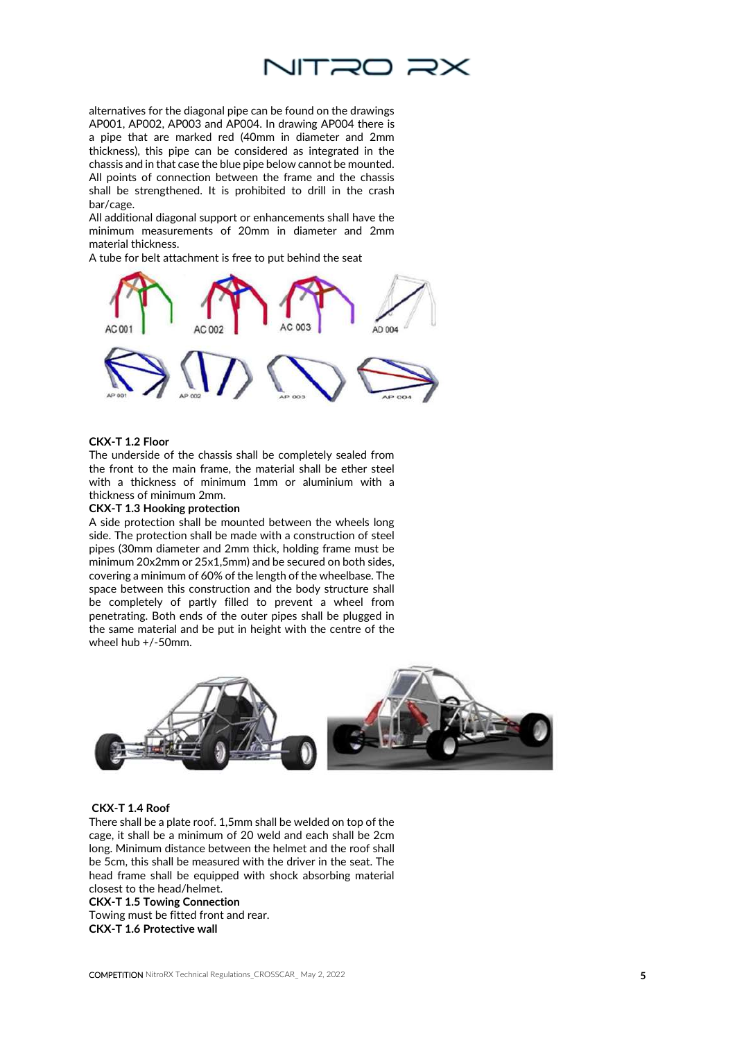

alternatives for the diagonal pipe can be found on the drawings AP001, AP002, AP003 and AP004. In drawing AP004 there is a pipe that are marked red (40mm in diameter and 2mm thickness), this pipe can be considered as integrated in the chassis and in that case the blue pipe below cannot be mounted. All points of connection between the frame and the chassis shall be strengthened. It is prohibited to drill in the crash bar/cage.

All additional diagonal support or enhancements shall have the minimum measurements of 20mm in diameter and 2mm material thickness.

A tube for belt attachment is free to put behind the seat



#### **CKX-T 1.2 Floor**

The underside of the chassis shall be completely sealed from the front to the main frame, the material shall be ether steel with a thickness of minimum 1mm or aluminium with a thickness of minimum 2mm.

#### **CKX-T 1.3 Hooking protection**

A side protection shall be mounted between the wheels long side. The protection shall be made with a construction of steel pipes (30mm diameter and 2mm thick, holding frame must be minimum 20x2mm or 25x1,5mm) and be secured on both sides, covering a minimum of 60% of the length of the wheelbase. The space between this construction and the body structure shall be completely of partly filled to prevent a wheel from penetrating. Both ends of the outer pipes shall be plugged in the same material and be put in height with the centre of the wheel hub +/-50mm.



#### **CKX-T 1.4 Roof**

There shall be a plate roof. 1,5mm shall be welded on top of the cage, it shall be a minimum of 20 weld and each shall be 2cm long. Minimum distance between the helmet and the roof shall be 5cm, this shall be measured with the driver in the seat. The head frame shall be equipped with shock absorbing material closest to the head/helmet.

**CKX-T 1.5 Towing Connection** Towing must be fitted front and rear. **CKX-T 1.6 Protective wall**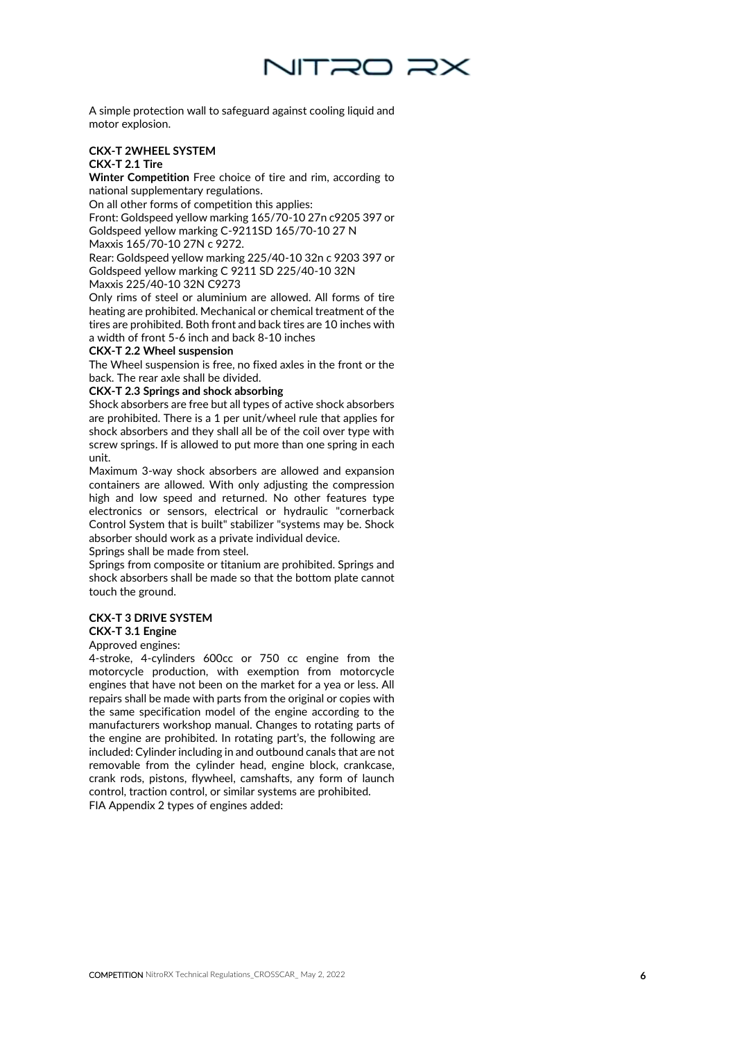

A simple protection wall to safeguard against cooling liquid and motor explosion.

#### **CKX -T 2WHEEL SYSTEM CKX -T 2.1 Tire**

**Winter Competition** Free choice of tire and rim, according to national supplementary regulations.

On all other forms of competition this applies:

Front: Goldspeed yellow marking 165/70 -10 27n c9205 397 or Goldspeed yellow marking C -9211SD 165/70 -10 27 N

Maxxis 165/70 -10 27N c 9272.

Rear: Goldspeed yellow marking 225/40 -10 32n c 9203 397 or Goldspeed yellow marking C 9211 SD 225/40 -10 32N Maxxis 225/40 -10 32N C9273

Only rims of steel or aluminium are allowed. All forms of tire heating are prohibited. Mechanical or chemical treatment of the tires are prohibited. Both front and back tires are 10 inches with a width of front 5 -6 inch and back 8 -10 inches

#### **CKX -T 2.2 Wheel suspension**

The Wheel suspension is free, no fixed axles in the front or the back. The rear axle shall be divided.

#### **CKX -T 2.3 Springs and shock absorbing**

Shock absorbers are free but all types of active shock absorbers are prohibited. There is a 1 per unit/wheel rule that applies for shock absorbers and they shall all be of the coil over type with screw springs. If is allowed to put more than one spring in each unit.

Maximum 3 -way shock absorbers are allowed and expansion containers are allowed. With only adjusting the compression high and low speed and returned. No other features type electronics or sensors, electrical or hydraulic "cornerback Control System that is built" stabilizer "systems may be. Shock absorber should work as a private individual device.

Springs shall be made from steel.

Springs from composite or titanium are prohibited. Springs and shock absorbers shall be made so that the bottom plate cannot touch the ground.

#### **CKX -T 3 DRIVE SYSTEM**

#### **CKX -T 3.1 Engine**

Approved engines: 4-stroke, 4-cylinders 600cc or 750 cc engine from the motorcycle production, with exemption from motorcycle engines that have not been on the market for a yea or less. All repairs shall be made with parts from the original or copies with the same specification model of the engine according to the manufacturers workshop manual. Changes to rotating parts of the engine are prohibited. In rotating part's, the following are included: Cylinder including in and outbound canals that are not removable from the cylinder head, engine block, crankcase, crank rods, pistons, flywheel, camshafts, any form of launch control, traction control, or similar systems are prohibited. FIA Appendix 2 types of engines added: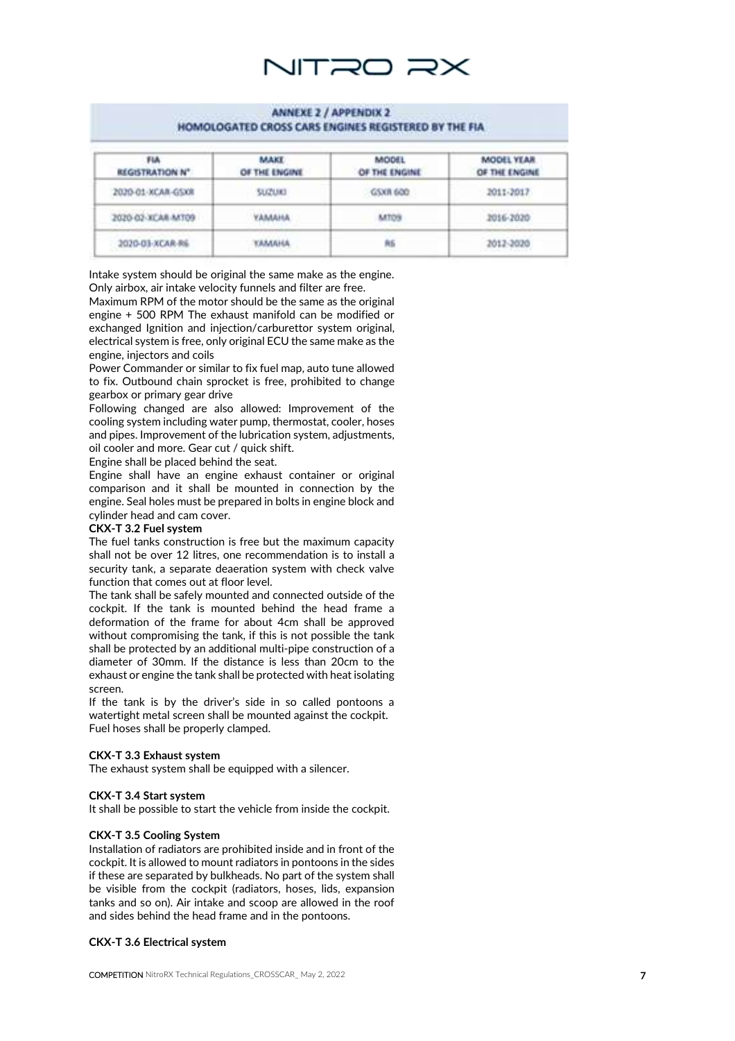

#### **ANNEXE 2 / APPENDIX 2** HOMOLOGATED CROSS CARS ENGINES REGISTERED BY THE FIA

| <b>FIA</b><br><b>REGISTRATION N°</b>                    | MAKE<br>OF THE ENGINE | <b>MODEL</b><br>OF THE ENGINE | <b>MODEL YEAR</b><br>OF THE ENGINE             |
|---------------------------------------------------------|-----------------------|-------------------------------|------------------------------------------------|
| 2020-01-XCAR-GSXR                                       | <b>SUZUKI</b>         | GSXR 600                      | 2011-2017                                      |
| 2020-02-XCAR-MT09                                       | <b><i>VAMMANA</i></b> | <b>M709</b>                   | 2016-2020                                      |
| 2020-01-XCAR-RG<br>a de la comunidad de la comunidad de | амана                 | 角后                            | 2012-2020<br>with a company of the form of the |

Intake system should be original the same make as the engine. Only airbox, air intake velocity funnels and filter are free.

Maximum RPM of the motor should be the same as the original engine + 500 RPM The exhaust manifold can be modified or exchanged Ignition and injection/carburettor system original, electrical system is free, only original ECU the same make as the engine, injectors and coils

Power Commander or similar to fix fuel map, auto tune allowed to fix. Outbound chain sprocket is free, prohibited to change gearbox or primary gear drive

Following changed are also allowed: Improvement of the cooling system including water pump, thermostat, cooler, hoses and pipes. Improvement of the lubrication system, adjustments, oil cooler and more. Gear cut / quick shift.

Engine shall be placed behind the seat.

Engine shall have an engine exhaust container or original comparison and it shall be mounted in connection by the engine. Seal holes must be prepared in bolts in engine block and cylinder head and cam cover.

#### **CKX -T 3.2 Fuel system**

The fuel tanks construction is free but the maximum capacity shall not be over 12 litres, one recommendation is to install a security tank, a separate deaeration system with check valve function that comes out at floor level. The tank shall be safely mounted and connected outside of the

cockpit. If the tank is mounted behind the head frame a deformation of the frame for about 4cm shall be approved without compromising the tank, if this is not possible the tank shall be protected by an additional multi -pipe construction of a diameter of 30mm. If the distance is less than 20cm to the exhaust or engine the tank shall be protected with heat isolating screen.

If the tank is by the driver's side in so called pontoons a watertight metal screen shall be mounted against the cockpit. Fuel hoses shall be properly clamped.

## **CKX -T 3.3 Exhaust system**

The exhaust system shall be equipped with a silencer.

#### **CKX -T 3.4 Start system**

It shall be possible to start the vehicle from inside the cockpit.

#### **CKX -T 3.5 Cooling System**

Installation of radiators are prohibited inside and in front of the cockpit. It is allowed to mount radiators in pontoons in the sides if these are separated by bulkheads. No part of the system shall be visible from the cockpit (radiators, hoses, lids, expansion tanks and so on). Air intake and scoop are allowed in the roof and sides behind the head frame and in the pontoons.

#### **CKX -T 3.6 Electrical system**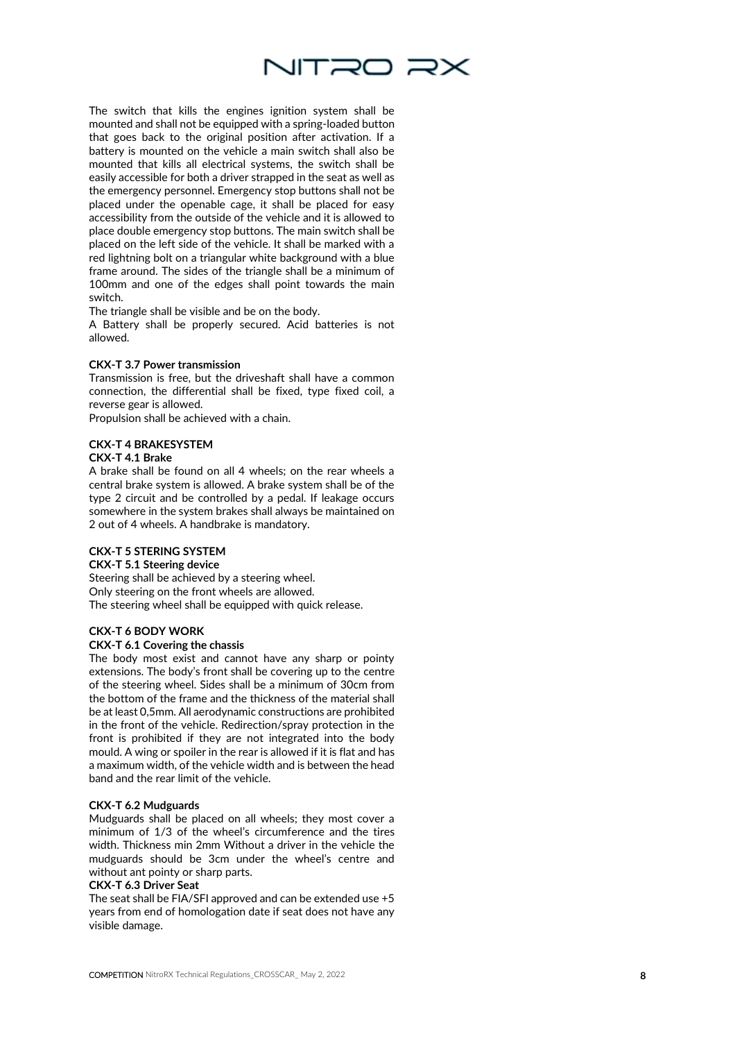

The switch that kills the engines ignition system shall be mounted and shall not be equipped with a spring -loaded button that goes back to the original position after activation. If a battery is mounted on the vehicle a main switch shall also be mounted that kills all electrical systems, the switch shall be easily accessible for both a driver strapped in the seat as well as the emergency personnel. Emergency stop buttons shall not be placed under the openable cage, it shall be placed for easy accessibility from the outside of the vehicle and it is allowed to place double emergency stop buttons. The main switch shall be placed on the left side of the vehicle. It shall be marked with a red lightning bolt on a triangular white background with a blue frame around. The sides of the triangle shall be a minimum of 100mm and one of the edges shall point towards the main switch.

The triangle shall be visible and be on the body.

A Battery shall be properly secured. Acid batteries is not allowed.

#### **CKX -T 3.7 Power transmission**

Transmission is free, but the driveshaft shall have a common connection, the differential shall be fixed, type fixed coil, a reverse gear is allowed.

Propulsion shall be achieved with a chain.

# **CKX -T 4 BRAKESYSTEM**

#### **CKX -T 4.1 Brake**

A brake shall be found on all 4 wheels; on the rear wheels a central brake system is allowed. A brake system shall be of the type 2 circuit and be controlled by a pedal. If leakage occurs somewhere in the system brakes shall always be maintained on 2 out of 4 wheels. A handbrake is mandatory.

#### **CKX -T 5 STERING SYSTEM**

**CKX -T 5.1 Steering device** 

Steering shall be achieved by a steering wheel. Only steering on the front wheels are allowed. The steering wheel shall be equipped with quick release.

#### **CKX -T 6 BODY WORK**

#### **CKX -T 6.1 Covering the chassis**

The body most exist and cannot have any sharp or pointy extensions. The body's front shall be covering up to the centre of the steering wheel. Sides shall be a minimum of 30cm from the bottom of the frame and the thickness of the material shall be at least 0,5mm. All aerodynamic constructions are prohibited in the front of the vehicle. Redirection/spray protection in the front is prohibited if they are not integrated into the body mould. A wing or spoiler in the rear is allowed if it is flat and has a maximum width, of the vehicle width and is between the head band and the rear limit of the vehicle.

#### **CKX -T 6.2 Mudguards**

Mudguards shall be placed on all wheels; they most cover a minimum of 1/3 of the wheel's circumference and the tires width. Thickness min 2mm Without a driver in the vehicle the mudguards should be 3cm under the wheel's centre and without ant pointy or sharp parts.

#### **CKX -T 6.3 Driver Seat**

The seat shall be FIA/SFI approved and can be extended use +5 years from end of homologation date if seat does not have any visible damage.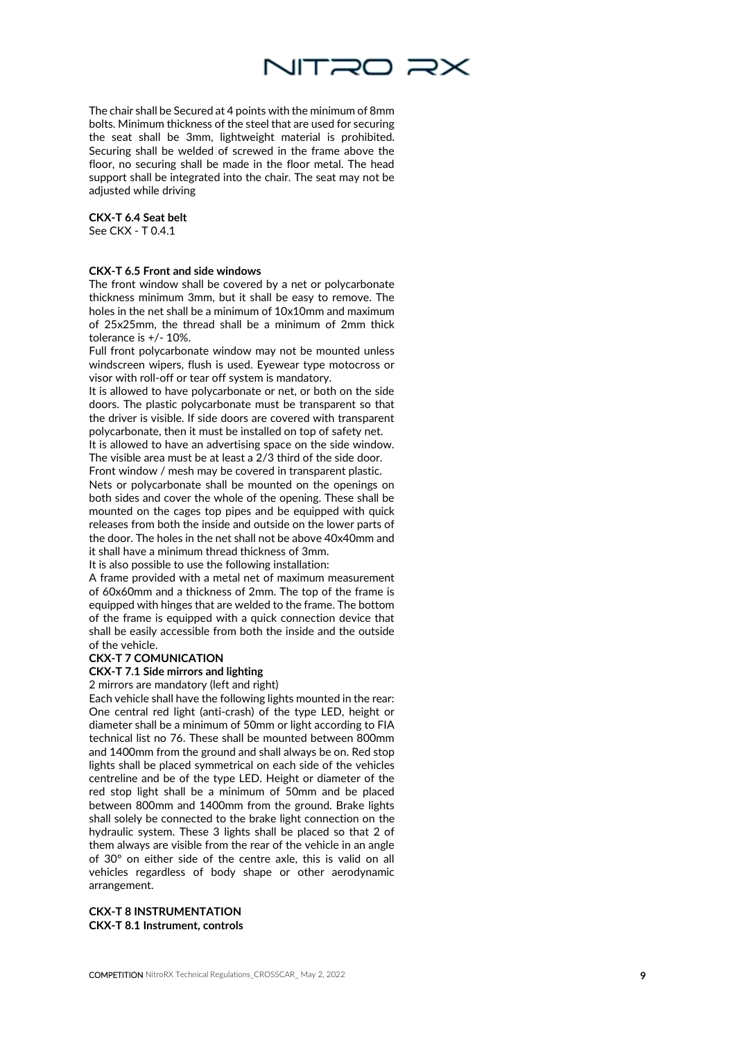

The chair shall be Secured at 4 points with the minimum of 8mm bolts. Minimum thickness of the steel that are used for securing the seat shall be 3mm, lightweight material is prohibited. Securing shall be welded of screwed in the frame above the floor, no securing shall be made in the floor metal. The head support shall be integrated into the chair. The seat may not be adjusted while driving

**CKX -T 6.4 Seat belt** 

See CKX - T 0.4.1

#### **CKX -T 6.5 Front and side windows**

The front window shall be covered by a net or polycarbonate thickness minimum 3mm, but it shall be easy to remove. The holes in the net shall be a minimum of 10x10mm and maximum of 25x25mm, the thread shall be a minimum of 2mm thick tolerance is +/ - 10%.

Full front polycarbonate window may not be mounted unless windscreen wipers, flush is used. Eyewear type motocross or visor with roll -off or tear off system is mandatory.

It is allowed to have polycarbonate or net, or both on the side doors. The plastic polycarbonate must be transparent so that the driver is visible. If side doors are covered with transparent polycarbonate, then it must be installed on top of safety net.

It is allowed to have an advertising space on the side window. The visible area must be at least a 2/3 third of the side door.

Front window / mesh may be covered in transparent plastic. Nets or polycarbonate shall be mounted on the openings on both sides and cover the whole of the opening. These shall be mounted on the cages top pipes and be equipped with quick releases from both the inside and outside on the lower parts of the door. The holes in the net shall not be above 40x40mm and it shall have a minimum thread thickness of 3mm. It is also possible to use the following installation:

A frame provided with a metal net of maximum measurement of 60x60mm and a thickness of 2mm. The top of the frame is equipped with hinges that are welded to the frame. The bottom of the frame is equipped with a quick connection device that shall be easily accessible from both the inside and the outside of the vehicle.

#### **CKX -T 7 COMUNICATION**

#### **CKX -T 7.1 Side mirrors and lighting**

2 mirrors are mandatory (left and right)

Each vehicle shall have the following lights mounted in the rear: One central red light (anti-crash) of the type LED, height or diameter shall be a minimum of 50mm or light according to FIA technical list no 76. These shall be mounted between 800mm and 1400mm from the ground and shall always be on. Red stop lights shall be placed symmetrical on each side of the vehicles centreline and be of the type LED. Height or diameter of the red stop light shall be a minimum of 50mm and be placed between 800mm and 1400mm from the ground. Brake lights shall solely be connected to the brake light connection on the hydraulic system. These 3 lights shall be placed so that 2 of them always are visible from the rear of the vehicle in an angle of 30° on either side of the centre axle, this is valid on all vehicles regardless of body shape or other aerodynamic arrangement.

**CKX -T 8 INSTRUMENTATION CKX -T 8.1 Instrument, controls**